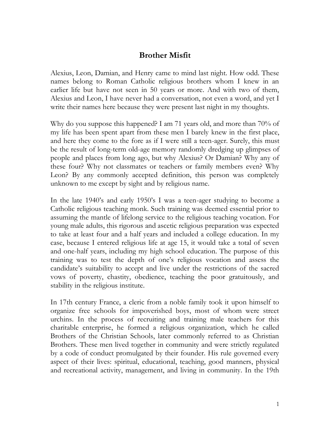## **Brother Misfit**

Alexius, Leon, Damian, and Henry came to mind last night. How odd. These names belong to Roman Catholic religious brothers whom I knew in an earlier life but have not seen in 50 years or more. And with two of them, Alexius and Leon, I have never had a conversation, not even a word, and yet I write their names here because they were present last night in my thoughts.

Why do you suppose this happened? I am 71 years old, and more than 70% of my life has been spent apart from these men I barely knew in the first place, and here they come to the fore as if I were still a teen-ager. Surely, this must be the result of long-term old-age memory randomly dredging up glimpses of people and places from long ago, but why Alexius? Or Damian? Why any of these four? Why not classmates or teachers or family members even? Why Leon? By any commonly accepted definition, this person was completely unknown to me except by sight and by religious name.

In the late 1940's and early 1950's I was a teen-ager studying to become a Catholic religious teaching monk. Such training was deemed essential prior to assuming the mantle of lifelong service to the religious teaching vocation. For young male adults, this rigorous and ascetic religious preparation was expected to take at least four and a half years and included a college education. In my case, because I entered religious life at age 15, it would take a total of seven and one-half years, including my high school education. The purpose of this training was to test the depth of one's religious vocation and assess the candidate's suitability to accept and live under the restrictions of the sacred vows of poverty, chastity, obedience, teaching the poor gratuitously, and stability in the religious institute.

In 17th century France, a cleric from a noble family took it upon himself to organize free schools for impoverished boys, most of whom were street urchins. In the process of recruiting and training male teachers for this charitable enterprise, he formed a religious organization, which he called Brothers of the Christian Schools, later commonly referred to as Christian Brothers. These men lived together in community and were strictly regulated by a code of conduct promulgated by their founder. His rule governed every aspect of their lives: spiritual, educational, teaching, good manners, physical and recreational activity, management, and living in community. In the 19th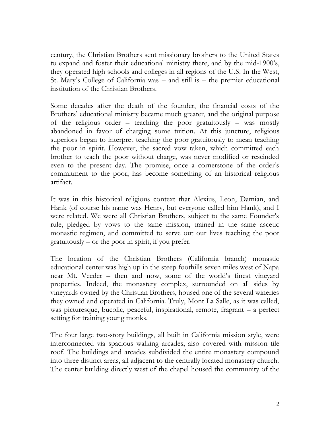century, the Christian Brothers sent missionary brothers to the United States to expand and foster their educational ministry there, and by the mid-1900's, they operated high schools and colleges in all regions of the U.S. In the West, St. Mary's College of California was – and still is – the premier educational institution of the Christian Brothers.

Some decades after the death of the founder, the financial costs of the Brothers' educational ministry became much greater, and the original purpose of the religious order – teaching the poor gratuitously – was mostly abandoned in favor of charging some tuition. At this juncture, religious superiors began to interpret teaching the poor gratuitously to mean teaching the poor in spirit. However, the sacred vow taken, which committed each brother to teach the poor without charge, was never modified or rescinded even to the present day. The promise, once a cornerstone of the order's commitment to the poor, has become something of an historical religious artifact.

It was in this historical religious context that Alexius, Leon, Damian, and Hank (of course his name was Henry, but everyone called him Hank), and I were related. We were all Christian Brothers, subject to the same Founder's rule, pledged by vows to the same mission, trained in the same ascetic monastic regimen, and committed to serve out our lives teaching the poor gratuitously – or the poor in spirit, if you prefer.

The location of the Christian Brothers (California branch) monastic educational center was high up in the steep foothills seven miles west of Napa near Mt. Veeder – then and now, some of the world's finest vineyard properties. Indeed, the monastery complex, surrounded on all sides by vineyards owned by the Christian Brothers, housed one of the several wineries they owned and operated in California. Truly, Mont La Salle, as it was called, was picturesque, bucolic, peaceful, inspirational, remote, fragrant – a perfect setting for training young monks.

The four large two-story buildings, all built in California mission style, were interconnected via spacious walking arcades, also covered with mission tile roof. The buildings and arcades subdivided the entire monastery compound into three distinct areas, all adjacent to the centrally located monastery church. The center building directly west of the chapel housed the community of the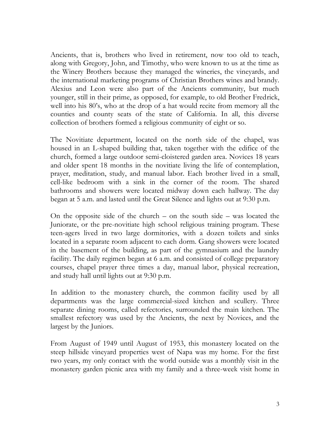Ancients, that is, brothers who lived in retirement, now too old to teach, along with Gregory, John, and Timothy, who were known to us at the time as the Winery Brothers because they managed the wineries, the vineyards, and the international marketing programs of Christian Brothers wines and brandy. Alexius and Leon were also part of the Ancients community, but much younger, still in their prime, as opposed, for example, to old Brother Fredrick, well into his 80's, who at the drop of a hat would recite from memory all the counties and county seats of the state of California. In all, this diverse collection of brothers formed a religious community of eight or so.

The Novitiate department, located on the north side of the chapel, was housed in an L-shaped building that, taken together with the edifice of the church, formed a large outdoor semi-cloistered garden area. Novices 18 years and older spent 18 months in the novitiate living the life of contemplation, prayer, meditation, study, and manual labor. Each brother lived in a small, cell-like bedroom with a sink in the corner of the room. The shared bathrooms and showers were located midway down each hallway. The day began at 5 a.m. and lasted until the Great Silence and lights out at 9:30 p.m.

On the opposite side of the church – on the south side – was located the Juniorate, or the pre-novitiate high school religious training program. These teen-agers lived in two large dormitories, with a dozen toilets and sinks located in a separate room adjacent to each dorm. Gang showers were located in the basement of the building, as part of the gymnasium and the laundry facility. The daily regimen began at 6 a.m. and consisted of college preparatory courses, chapel prayer three times a day, manual labor, physical recreation, and study hall until lights out at 9:30 p.m.

In addition to the monastery church, the common facility used by all departments was the large commercial-sized kitchen and scullery. Three separate dining rooms, called refectories, surrounded the main kitchen. The smallest refectory was used by the Ancients, the next by Novices, and the largest by the Juniors.

From August of 1949 until August of 1953, this monastery located on the steep hillside vineyard properties west of Napa was my home. For the first two years, my only contact with the world outside was a monthly visit in the monastery garden picnic area with my family and a three-week visit home in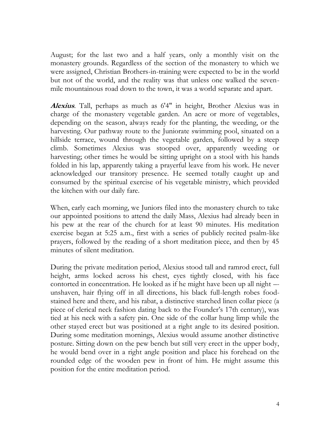August; for the last two and a half years, only a monthly visit on the monastery grounds. Regardless of the section of the monastery to which we were assigned, Christian Brothers-in-training were expected to be in the world but not of the world, and the reality was that unless one walked the sevenmile mountainous road down to the town, it was a world separate and apart.

**Alexius**. Tall, perhaps as much as 6'4" in height, Brother Alexius was in charge of the monastery vegetable garden. An acre or more of vegetables, depending on the season, always ready for the planting, the weeding, or the harvesting. Our pathway route to the Juniorate swimming pool, situated on a hillside terrace, wound through the vegetable garden, followed by a steep climb. Sometimes Alexius was stooped over, apparently weeding or harvesting; other times he would be sitting upright on a stool with his hands folded in his lap, apparently taking a prayerful leave from his work. He never acknowledged our transitory presence. He seemed totally caught up and consumed by the spiritual exercise of his vegetable ministry, which provided the kitchen with our daily fare.

When, early each morning, we Juniors filed into the monastery church to take our appointed positions to attend the daily Mass, Alexius had already been in his pew at the rear of the church for at least 90 minutes. His meditation exercise began at 5:25 a.m., first with a series of publicly recited psalm-like prayers, followed by the reading of a short meditation piece, and then by 45 minutes of silent meditation.

During the private meditation period, Alexius stood tall and ramrod erect, full height, arms locked across his chest, eyes tightly closed, with his face contorted in concentration. He looked as if he might have been up all night – unshaven, hair flying off in all directions, his black full-length robes foodstained here and there, and his rabat, a distinctive starched linen collar piece (a piece of clerical neck fashion dating back to the Founder's 17th century), was tied at his neck with a safety pin. One side of the collar hung limp while the other stayed erect but was positioned at a right angle to its desired position. During some meditation mornings, Alexius would assume another distinctive posture. Sitting down on the pew bench but still very erect in the upper body, he would bend over in a right angle position and place his forehead on the rounded edge of the wooden pew in front of him. He might assume this position for the entire meditation period.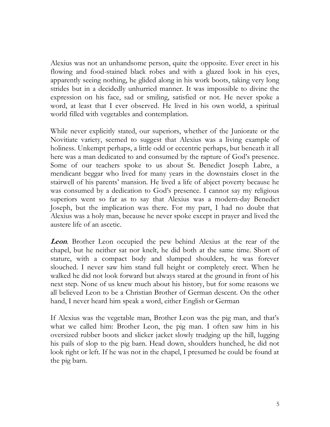Alexius was not an unhandsome person, quite the opposite. Ever erect in his flowing and food-stained black robes and with a glazed look in his eyes, apparently seeing nothing, he glided along in his work boots, taking very long strides but in a decidedly unhurried manner. It was impossible to divine the expression on his face, sad or smiling, satisfied or not. He never spoke a word, at least that I ever observed. He lived in his own world, a spiritual world filled with vegetables and contemplation.

While never explicitly stated, our superiors, whether of the Juniorate or the Novitiate variety, seemed to suggest that Alexius was a living example of holiness. Unkempt perhaps, a little odd or eccentric perhaps, but beneath it all here was a man dedicated to and consumed by the rapture of God's presence. Some of our teachers spoke to us about St. Benedict Joseph Labre, a mendicant beggar who lived for many years in the downstairs closet in the stairwell of his parents' mansion. He lived a life of abject poverty because he was consumed by a dedication to God's presence. I cannot say my religious superiors went so far as to say that Alexius was a modern-day Benedict Joseph, but the implication was there. For my part, I had no doubt that Alexius was a holy man, because he never spoke except in prayer and lived the austere life of an ascetic.

**Leon**. Brother Leon occupied the pew behind Alexius at the rear of the chapel, but he neither sat nor knelt, he did both at the same time. Short of stature, with a compact body and slumped shoulders, he was forever slouched. I never saw him stand full height or completely erect. When he walked he did not look forward but always stared at the ground in front of his next step. None of us knew much about his history, but for some reasons we all believed Leon to be a Christian Brother of German descent. On the other hand, I never heard him speak a word, either English or German

If Alexius was the vegetable man, Brother Leon was the pig man, and that's what we called him: Brother Leon, the pig man. I often saw him in his oversized rubber boots and slicker jacket slowly trudging up the hill, lugging his pails of slop to the pig barn. Head down, shoulders hunched, he did not look right or left. If he was not in the chapel, I presumed he could be found at the pig barn.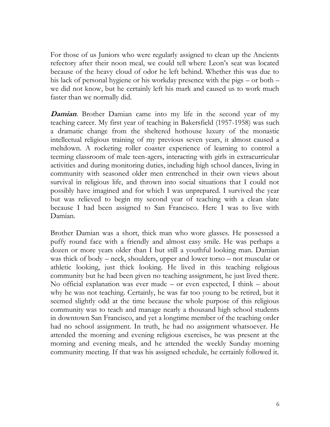For those of us Juniors who were regularly assigned to clean up the Ancients refectory after their noon meal, we could tell where Leon's seat was located because of the heavy cloud of odor he left behind. Whether this was due to his lack of personal hygiene or his workday presence with the pigs – or both – we did not know, but he certainly left his mark and caused us to work much faster than we normally did.

**Damian**. Brother Damian came into my life in the second year of my teaching career. My first year of teaching in Bakersfield (1957-1958) was such a dramatic change from the sheltered hothouse luxury of the monastic intellectual religious training of my previous seven years, it almost caused a meltdown. A rocketing roller coaster experience of learning to control a teeming classroom of male teen-agers, interacting with girls in extracurricular activities and during monitoring duties, including high school dances, living in community with seasoned older men entrenched in their own views about survival in religious life, and thrown into social situations that I could not possibly have imagined and for which I was unprepared. I survived the year but was relieved to begin my second year of teaching with a clean slate because I had been assigned to San Francisco. Here I was to live with Damian.

Brother Damian was a short, thick man who wore glasses. He possessed a puffy round face with a friendly and almost easy smile. He was perhaps a dozen or more years older than I but still a youthful looking man. Damian was thick of body – neck, shoulders, upper and lower torso – not muscular or athletic looking, just thick looking. He lived in this teaching religious community but he had been given no teaching assignment, he just lived there. No official explanation was ever made – or even expected, I think – about why he was not teaching. Certainly, he was far too young to be retired, but it seemed slightly odd at the time because the whole purpose of this religious community was to teach and manage nearly a thousand high school students in downtown San Francisco, and yet a longtime member of the teaching order had no school assignment. In truth, he had no assignment whatsoever. He attended the morning and evening religious exercises, he was present at the morning and evening meals, and he attended the weekly Sunday morning community meeting. If that was his assigned schedule, he certainly followed it.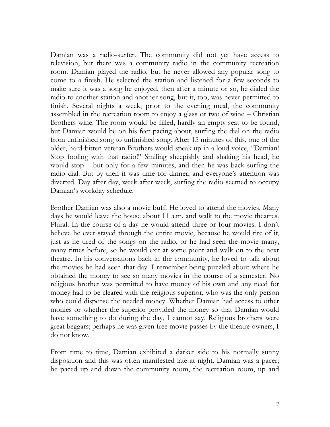Damian was a radio-surfer. The community did not yet have access to television, but there was a community radio in the community recreation room. Damian played the radio, but he never allowed any popular song to come to a finish. He selected the station and listened for a few seconds to make sure it was a song he enjoyed, then after a minute or so, he dialed the radio to another station and another song, but it, too, was never permitted to finish. Several nights a week, prior to the evening meal, the community assembled in the recreation room to enjoy a glass or two of wine – Christian Brothers wine. The room would be filled, hardly an empty seat to be found, but Damian would be on his feet pacing about, surfing the dial on the radio from unfinished song to unfinished song. After 15 minutes of this, one of the older, hard-bitten veteran Brothers would speak up in a loud voice, "Damian! Stop fooling with that radio!" Smiling sheepishly and shaking his head, he would stop – but only for a few minutes, and then he was back surfing the radio dial. But by then it was time for dinner, and everyone's attention was diverted. Day after day, week after week, surfing the radio seemed to occupy Damian's workday schedule.

Brother Damian was also a movie buff. He loved to attend the movies. Many days he would leave the house about 11 a.m. and walk to the movie theatres. Plural. In the course of a day he would attend three or four movies. I don't believe he ever stayed through the entire movie, because he would tire of it, just as he tired of the songs on the radio, or he had seen the movie many, many times before, so he would exit at some point and walk on to the next theatre. In his conversations back in the community, he loved to talk about the movies he had seen that day. I remember being puzzled about where he obtained the money to see so many movies in the course of a semester. No religious brother was permitted to have money of his own and any need for money had to be cleared with the religious superior, who was the only person who could dispense the needed money. Whether Damian had access to other monies or whether the superior provided the money so that Damian would have something to do during the day, I cannot say. Religious brothers were great beggars; perhaps he was given free movie passes by the theatre owners, I do not know.

From time to time, Damian exhibited a darker side to his normally sunny disposition and this was often manifested late at night. Damian was a pacer; he paced up and down the community room, the recreation room, up and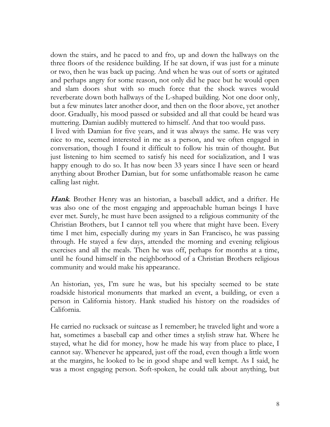down the stairs, and he paced to and fro, up and down the hallways on the three floors of the residence building. If he sat down, if was just for a minute or two, then he was back up pacing. And when he was out of sorts or agitated and perhaps angry for some reason, not only did he pace but he would open and slam doors shut with so much force that the shock waves would reverberate down both hallways of the L-shaped building. Not one door only, but a few minutes later another door, and then on the floor above, yet another door. Gradually, his mood passed or subsided and all that could be heard was muttering. Damian audibly muttered to himself. And that too would pass. I lived with Damian for five years, and it was always the same. He was very nice to me, seemed interested in me as a person, and we often engaged in conversation, though I found it difficult to follow his train of thought. But just listening to him seemed to satisfy his need for socialization, and I was happy enough to do so. It has now been 33 years since I have seen or heard anything about Brother Damian, but for some unfathomable reason he came calling last night.

**Hank**. Brother Henry was an historian, a baseball addict, and a drifter. He was also one of the most engaging and approachable human beings I have ever met. Surely, he must have been assigned to a religious community of the Christian Brothers, but I cannot tell you where that might have been. Every time I met him, especially during my years in San Francisco, he was passing through. He stayed a few days, attended the morning and evening religious exercises and all the meals. Then he was off, perhaps for months at a time, until he found himself in the neighborhood of a Christian Brothers religious community and would make his appearance.

An historian, yes, I'm sure he was, but his specialty seemed to be state roadside historical monuments that marked an event, a building, or even a person in California history. Hank studied his history on the roadsides of California.

He carried no rucksack or suitcase as I remember; he traveled light and wore a hat, sometimes a baseball cap and other times a stylish straw hat. Where he stayed, what he did for money, how he made his way from place to place, I cannot say. Whenever he appeared, just off the road, even though a little worn at the margins, he looked to be in good shape and well kempt. As I said, he was a most engaging person. Soft-spoken, he could talk about anything, but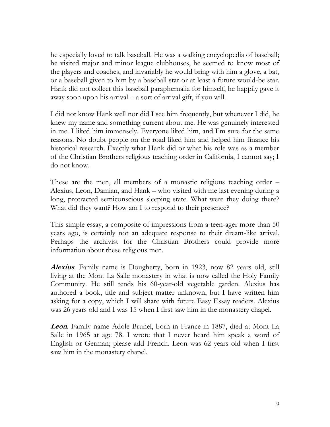he especially loved to talk baseball. He was a walking encyclopedia of baseball; he visited major and minor league clubhouses, he seemed to know most of the players and coaches, and invariably he would bring with him a glove, a bat, or a baseball given to him by a baseball star or at least a future would-be star. Hank did not collect this baseball paraphernalia for himself, he happily gave it away soon upon his arrival – a sort of arrival gift, if you will.

I did not know Hank well nor did I see him frequently, but whenever I did, he knew my name and something current about me. He was genuinely interested in me. I liked him immensely. Everyone liked him, and I'm sure for the same reasons. No doubt people on the road liked him and helped him finance his historical research. Exactly what Hank did or what his role was as a member of the Christian Brothers religious teaching order in California, I cannot say; I do not know.

These are the men, all members of a monastic religious teaching order – Alexius, Leon, Damian, and Hank – who visited with me last evening during a long, protracted semiconscious sleeping state. What were they doing there? What did they want? How am I to respond to their presence?

This simple essay, a composite of impressions from a teen-ager more than 50 years ago, is certainly not an adequate response to their dream-like arrival. Perhaps the archivist for the Christian Brothers could provide more information about these religious men.

**Alexius**. Family name is Dougherty, born in 1923, now 82 years old, still living at the Mont La Salle monastery in what is now called the Holy Family Community. He still tends his 60-year-old vegetable garden. Alexius has authored a book, title and subject matter unknown, but I have written him asking for a copy, which I will share with future Easy Essay readers. Alexius was 26 years old and I was 15 when I first saw him in the monastery chapel.

**Leon**. Family name Adole Brunel, born in France in 1887, died at Mont La Salle in 1965 at age 78. I wrote that I never heard him speak a word of English or German; please add French. Leon was 62 years old when I first saw him in the monastery chapel.